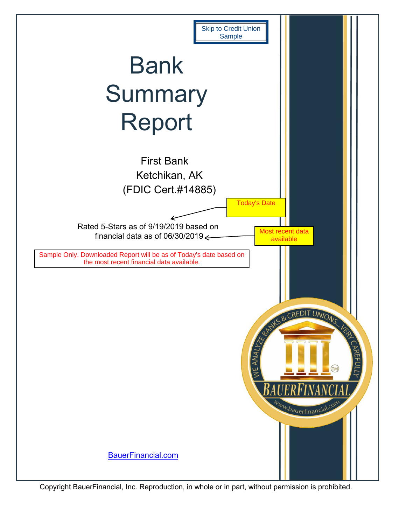<span id="page-0-0"></span>

Copyright BauerFinancial, Inc. Reproduction, in whole or in part, without permission is prohibited.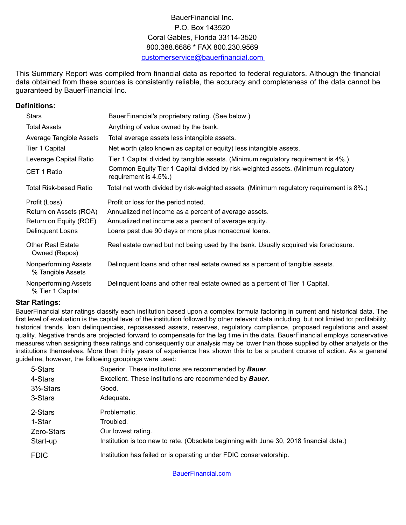## BauerFinancial Inc. P.O. Box 143520 Coral Gables, Florida 33114-3520 800.388.6686 \* FAX 800.230.9569 customerservice@bauerfinancial.com

This Summary Report was compiled from financial data as reported to federal regulators. Although the financial data obtained from these sources is consistently reliable, the accuracy and completeness of the data cannot be guaranteed by BauerFinancial Inc.

### **Definitions:**

| <b>Stars</b>                                     | BauerFinancial's proprietary rating. (See below.)                                                          |
|--------------------------------------------------|------------------------------------------------------------------------------------------------------------|
| <b>Total Assets</b>                              | Anything of value owned by the bank.                                                                       |
| Average Tangible Assets                          | Total average assets less intangible assets.                                                               |
| Tier 1 Capital                                   | Net worth (also known as capital or equity) less intangible assets.                                        |
| Leverage Capital Ratio                           | Tier 1 Capital divided by tangible assets. (Minimum regulatory requirement is 4%.)                         |
| CET 1 Ratio                                      | Common Equity Tier 1 Capital divided by risk-weighted assets. (Minimum regulatory<br>requirement is 4.5%.) |
| Total Risk-based Ratio                           | Total net worth divided by risk-weighted assets. (Minimum regulatory requirement is 8%.)                   |
| Profit (Loss)                                    | Profit or loss for the period noted.                                                                       |
| Return on Assets (ROA)                           | Annualized net income as a percent of average assets.                                                      |
| Return on Equity (ROE)                           | Annualized net income as a percent of average equity.                                                      |
| Delinquent Loans                                 | Loans past due 90 days or more plus nonaccrual loans.                                                      |
| <b>Other Real Estate</b><br>Owned (Repos)        | Real estate owned but not being used by the bank. Usually acquired via foreclosure.                        |
| <b>Nonperforming Assets</b><br>% Tangible Assets | Delinguent loans and other real estate owned as a percent of tangible assets.                              |
| Nonperforming Assets<br>% Tier 1 Capital         | Delinquent loans and other real estate owned as a percent of Tier 1 Capital.                               |

#### **Star Ratings:**

BauerFinancial star ratings classify each institution based upon a complex formula factoring in current and historical data. The first level of evaluation is the capital level of the institution followed by other relevant data including, but not limited to: profitability, historical trends, loan delinquencies, repossessed assets, reserves, regulatory compliance, proposed regulations and asset quality. Negative trends are projected forward to compensate for the lag time in the data. BauerFinancial employs conservative measures when assigning these ratings and consequently our analysis may be lower than those supplied by other analysts or the institutions themselves. More than thirty years of experience has shown this to be a prudent course of action. As a general guideline, however, the following groupings were used:

| 5-Stars               | Superior. These institutions are recommended by <b>Bauer</b> .                          |
|-----------------------|-----------------------------------------------------------------------------------------|
| 4-Stars               | Excellent. These institutions are recommended by <b>Bauer</b> .                         |
| $3\frac{1}{2}$ -Stars | Good.                                                                                   |
| 3-Stars               | Adequate.                                                                               |
| 2-Stars               | Problematic.                                                                            |
| 1-Star                | Troubled.                                                                               |
| Zero-Stars            | Our lowest rating.                                                                      |
| Start-up              | Institution is too new to rate. (Obsolete beginning with June 30, 2018 financial data.) |
| <b>FDIC</b>           | Institution has failed or is operating under FDIC conservatorship.                      |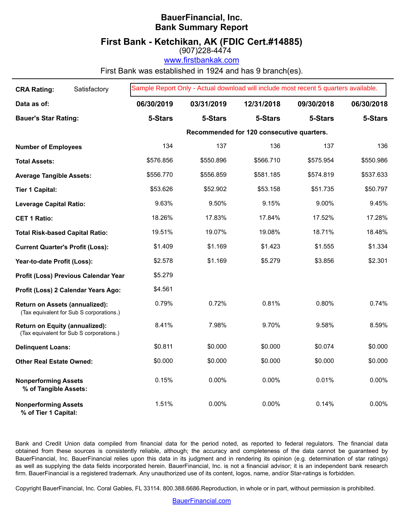# **BauerFinancial, Inc. Bank Summary Report**

# **First Bank - Ketchikan, AK (FDIC Cert.#14885)**

 $(907)\dot{2}28 - 4\dot{4}74$ 

www.firstbankak.com

First Bank was established in 1924 and has 9 branch(es).

| <b>CRA Rating:</b>                                   | Satisfactory                             | Sample Report Only - Actual download will include most recent 5 quarters available. |            |                                           |            |            |
|------------------------------------------------------|------------------------------------------|-------------------------------------------------------------------------------------|------------|-------------------------------------------|------------|------------|
| Data as of:                                          |                                          | 06/30/2019                                                                          | 03/31/2019 | 12/31/2018                                | 09/30/2018 | 06/30/2018 |
| <b>Bauer's Star Rating:</b>                          |                                          | 5-Stars                                                                             | 5-Stars    | 5-Stars                                   | 5-Stars    | 5-Stars    |
|                                                      |                                          |                                                                                     |            | Recommended for 120 consecutive quarters. |            |            |
| <b>Number of Employees</b>                           |                                          | 134                                                                                 | 137        | 136                                       | 137        | 136        |
| <b>Total Assets:</b>                                 |                                          | \$576.856                                                                           | \$550.896  | \$566.710                                 | \$575.954  | \$550.986  |
| <b>Average Tangible Assets:</b>                      |                                          | \$556.770                                                                           | \$556.859  | \$581.185                                 | \$574.819  | \$537.633  |
| <b>Tier 1 Capital:</b>                               |                                          | \$53.626                                                                            | \$52.902   | \$53.158                                  | \$51.735   | \$50.797   |
| <b>Leverage Capital Ratio:</b>                       |                                          | 9.63%                                                                               | 9.50%      | 9.15%                                     | 9.00%      | 9.45%      |
| <b>CET 1 Ratio:</b>                                  |                                          | 18.26%                                                                              | 17.83%     | 17.84%                                    | 17.52%     | 17.28%     |
| <b>Total Risk-based Capital Ratio:</b>               |                                          | 19.51%                                                                              | 19.07%     | 19.08%                                    | 18.71%     | 18.48%     |
| <b>Current Quarter's Profit (Loss):</b>              |                                          | \$1.409                                                                             | \$1.169    | \$1.423                                   | \$1.555    | \$1.334    |
| Year-to-date Profit (Loss):                          |                                          | \$2.578                                                                             | \$1.169    | \$5.279                                   | \$3.856    | \$2.301    |
|                                                      | Profit (Loss) Previous Calendar Year     | \$5.279                                                                             |            |                                           |            |            |
|                                                      | Profit (Loss) 2 Calendar Years Ago:      | \$4.561                                                                             |            |                                           |            |            |
| Return on Assets (annualized):                       | (Tax equivalent for Sub S corporations.) | 0.79%                                                                               | 0.72%      | 0.81%                                     | 0.80%      | 0.74%      |
| Return on Equity (annualized):                       | (Tax equivalent for Sub S corporations.) | 8.41%                                                                               | 7.98%      | 9.70%                                     | 9.58%      | 8.59%      |
| <b>Delinquent Loans:</b>                             |                                          | \$0.811                                                                             | \$0.000    | \$0.000                                   | \$0.074    | \$0.000    |
| <b>Other Real Estate Owned:</b>                      |                                          | \$0.000                                                                             | \$0.000    | \$0.000                                   | \$0.000    | \$0.000    |
| <b>Nonperforming Assets</b><br>% of Tangible Assets: |                                          | 0.15%                                                                               | 0.00%      | 0.00%                                     | 0.01%      | 0.00%      |
| <b>Nonperforming Assets</b><br>% of Tier 1 Capital:  |                                          | 1.51%                                                                               | $0.00\%$   | 0.00%                                     | 0.14%      | 0.00%      |

Bank and Credit Union data compiled from financial data for the period noted, as reported to federal regulators. The financial data obtained from these sources is consistently reliable, although; the accuracy and completeness of the data cannot be guaranteed by BauerFinancial, Inc. BauerFinancial relies upon this data in its judgment and in rendering its opinion (e.g. determination of star ratings) as well as supplying the data fields incorporated herein. BauerFinancial, Inc. is not a financial advisor; it is an independent bank research firm. BauerFinancial is a registered trademark. Any unauthorized use of its content, logos, name, and/or Star-ratings is forbidden.

Copyright BauerFinancial, Inc. Coral Gables, FL 33114. 800.388.6686.Reproduction, in whole or in part, without permission is prohibited.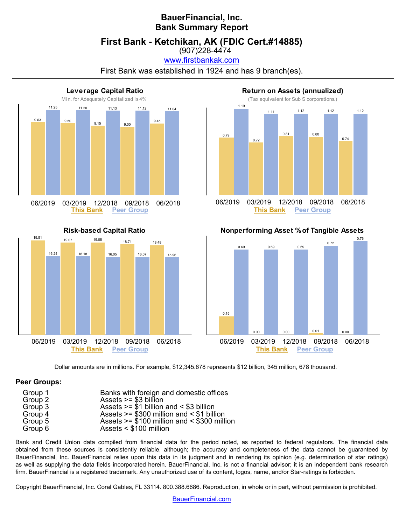# **BauerFinancial, Inc. Bank Summary Report**

**First Bank - Ketchikan, AK (FDIC Cert.#14885)**

(907)228-4474 www.firstbankak.com

First Bank was established in 1924 and has 9 branch(es).



**Risk-based Capital Ratio**



**Return on Assets (annualized)**





Dollar amounts are in millions. For example, \$12,345.678 represents \$12 billion, 345 million, 678 thousand.

#### **Peer Groups:**

| Group 1 | Banks with foreign and domestic offices       |
|---------|-----------------------------------------------|
| Group 2 | Assets $>= $3$ billion                        |
| Group 3 | Assets $>= $1$ billion and $< $3$ billion     |
| Group 4 | Assets $>= $300$ million and $< $1$ billion   |
| Group 5 | Assets $>= $100$ million and $< $300$ million |
| Group 6 | Assets $<$ \$100 million                      |

Bank and Credit Union data compiled from financial data for the period noted, as reported to federal regulators. The financial data obtained from these sources is consistently reliable, although; the accuracy and completeness of the data cannot be guaranteed by BauerFinancial, Inc. BauerFinancial relies upon this data in its judgment and in rendering its opinion (e.g. determination of star ratings) as well as supplying the data fields incorporated herein. BauerFinancial, Inc. is not a financial advisor; it is an independent bank research firm. BauerFinancial is a registered trademark. Any unauthorized use of its content, logos, name, and/or Star-ratings is forbidden.

Copyright BauerFinancial, Inc. Coral Gables, FL 33114. 800.388.6686. Reproduction, in whole or in part, without permission is prohibited.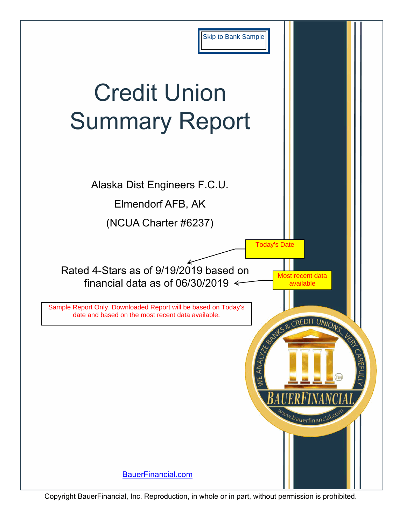<span id="page-4-0"></span>

Copyright BauerFinancial, Inc. Reproduction, in whole or in part, without permission is prohibited.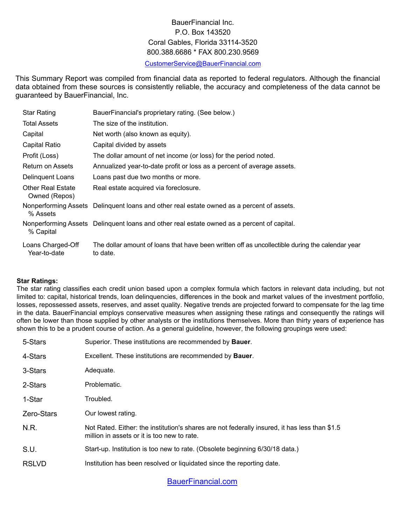# BauerFinancial Inc. P.O. Box 143520 Coral Gables, Florida 33114-3520 800.388.6686 \* FAX 800.230.9569

#### [CustomerService@BauerFinancial.com](mailto:CustomerService@BauerFinancial.com)

This Summary Report was compiled from financial data as reported to federal regulators. Although the financial data obtained from these sources is consistently reliable, the accuracy and completeness of the data cannot be guaranteed by BauerFinancial, Inc.

| <b>Star Rating</b>                        | BauerFinancial's proprietary rating. (See below.)                                                           |
|-------------------------------------------|-------------------------------------------------------------------------------------------------------------|
| <b>Total Assets</b>                       | The size of the institution.                                                                                |
| Capital                                   | Net worth (also known as equity).                                                                           |
| Capital Ratio                             | Capital divided by assets                                                                                   |
| Profit (Loss)                             | The dollar amount of net income (or loss) for the period noted.                                             |
| Return on Assets                          | Annualized year-to-date profit or loss as a percent of average assets.                                      |
| Delinguent Loans                          | Loans past due two months or more.                                                                          |
| <b>Other Real Estate</b><br>Owned (Repos) | Real estate acquired via foreclosure.                                                                       |
| % Assets                                  | Nonperforming Assets Delinguent loans and other real estate owned as a percent of assets.                   |
| % Capital                                 | Nonperforming Assets Delinquent loans and other real estate owned as a percent of capital.                  |
| Loans Charged-Off<br>Year-to-date         | The dollar amount of loans that have been written off as uncollectible during the calendar year<br>to date. |

#### **Star Ratings:**

The star rating classifies each credit union based upon a complex formula which factors in relevant data including, but not limited to: capital, historical trends, loan delinquencies, differences in the book and market values of the investment portfolio, losses, repossessed assets, reserves, and asset quality. Negative trends are projected forward to compensate for the lag time in the data. BauerFinancial employs conservative measures when assigning these ratings and consequently the ratings will often be lower than those supplied by other analysts or the institutions themselves. More than thirty years of experience has shown this to be a prudent course of action. As a general guideline, however, the following groupings were used:

| 5-Stars           | Superior. These institutions are recommended by <b>Bauer</b> .                                                                               |
|-------------------|----------------------------------------------------------------------------------------------------------------------------------------------|
| 4-Stars           | Excellent. These institutions are recommended by <b>Bauer</b> .                                                                              |
| 3-Stars           | Adequate.                                                                                                                                    |
| 2-Stars           | Problematic.                                                                                                                                 |
| 1-Star            | Troubled.                                                                                                                                    |
| <b>Zero-Stars</b> | Our lowest rating.                                                                                                                           |
| N.R.              | Not Rated. Either: the institution's shares are not federally insured, it has less than \$1.5<br>million in assets or it is too new to rate. |
| S.U.              | Start-up. Institution is too new to rate. (Obsolete beginning 6/30/18 data.)                                                                 |
| <b>RSLVD</b>      | Institution has been resolved or liquidated since the reporting date.                                                                        |
|                   |                                                                                                                                              |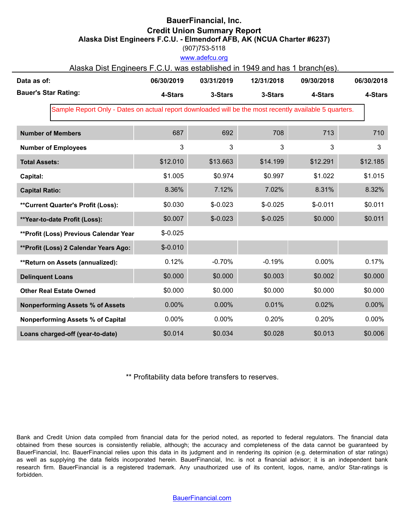## **BauerFinancial, Inc. Credit Union Summary Report Alaska Dist Engineers F.C.U. - Elmendorf AFB, AK (NCUA Charter #6237)**

(907)753-5118

www.adefcu.org

| Alaska Dist Engineers F.C.U. was established in 1949 and has 1 branch(es). |  |  |
|----------------------------------------------------------------------------|--|--|
|----------------------------------------------------------------------------|--|--|

| Data as of:                                                                                            | 06/30/2019 | 03/31/2019 | 12/31/2018 | 09/30/2018 | 06/30/2018 |
|--------------------------------------------------------------------------------------------------------|------------|------------|------------|------------|------------|
| <b>Bauer's Star Rating:</b>                                                                            | 4-Stars    | 3-Stars    | 3-Stars    | 4-Stars    | 4-Stars    |
| Sample Report Only - Dates on actual report downloaded will be the most recently available 5 quarters. |            |            |            |            |            |
| <b>Number of Members</b>                                                                               | 687        | 692        | 708        | 713        | 710        |
| <b>Number of Employees</b>                                                                             | 3          | 3          | 3          | 3          | 3          |
| <b>Total Assets:</b>                                                                                   | \$12.010   | \$13.663   | \$14.199   | \$12.291   | \$12.185   |
| Capital:                                                                                               | \$1.005    | \$0.974    | \$0.997    | \$1.022    | \$1.015    |
| <b>Capital Ratio:</b>                                                                                  | 8.36%      | 7.12%      | 7.02%      | 8.31%      | 8.32%      |
| **Current Quarter's Profit (Loss):                                                                     | \$0.030    | $$-0.023$  | $$-0.025$  | $$-0.011$  | \$0.011    |
| **Year-to-date Profit (Loss):                                                                          | \$0.007    | $$-0.023$  | $$-0.025$  | \$0.000    | \$0.011    |
| **Profit (Loss) Previous Calendar Year                                                                 | $$-0.025$  |            |            |            |            |
| **Profit (Loss) 2 Calendar Years Ago:                                                                  | $$-0.010$  |            |            |            |            |
| **Return on Assets (annualized):                                                                       | 0.12%      | $-0.70%$   | $-0.19%$   | 0.00%      | 0.17%      |
| <b>Delinquent Loans</b>                                                                                | \$0.000    | \$0.000    | \$0.003    | \$0.002    | \$0.000    |
| <b>Other Real Estate Owned</b>                                                                         | \$0.000    | \$0.000    | \$0.000    | \$0.000    | \$0.000    |
| <b>Nonperforming Assets % of Assets</b>                                                                | 0.00%      | 0.00%      | 0.01%      | 0.02%      | 0.00%      |
| <b>Nonperforming Assets % of Capital</b>                                                               | 0.00%      | 0.00%      | 0.20%      | 0.20%      | 0.00%      |
| Loans charged-off (year-to-date)                                                                       | \$0.014    | \$0.034    | \$0.028    | \$0.013    | \$0.006    |

\*\* Profitability data before transfers to reserves.

Bank and Credit Union data compiled from financial data for the period noted, as reported to federal regulators. The financial data obtained from these sources is consistently reliable, although; the accuracy and completeness of the data cannot be guaranteed by BauerFinancial, Inc. BauerFinancial relies upon this data in its judgment and in rendering its opinion (e.g. determination of star ratings) as well as supplying the data fields incorporated herein. BauerFinancial, Inc. is not a financial advisor; it is an independent bank research firm. BauerFinancial is a registered trademark. Any unauthorized use of its content, logos, name, and/or Star-ratings is forbidden.